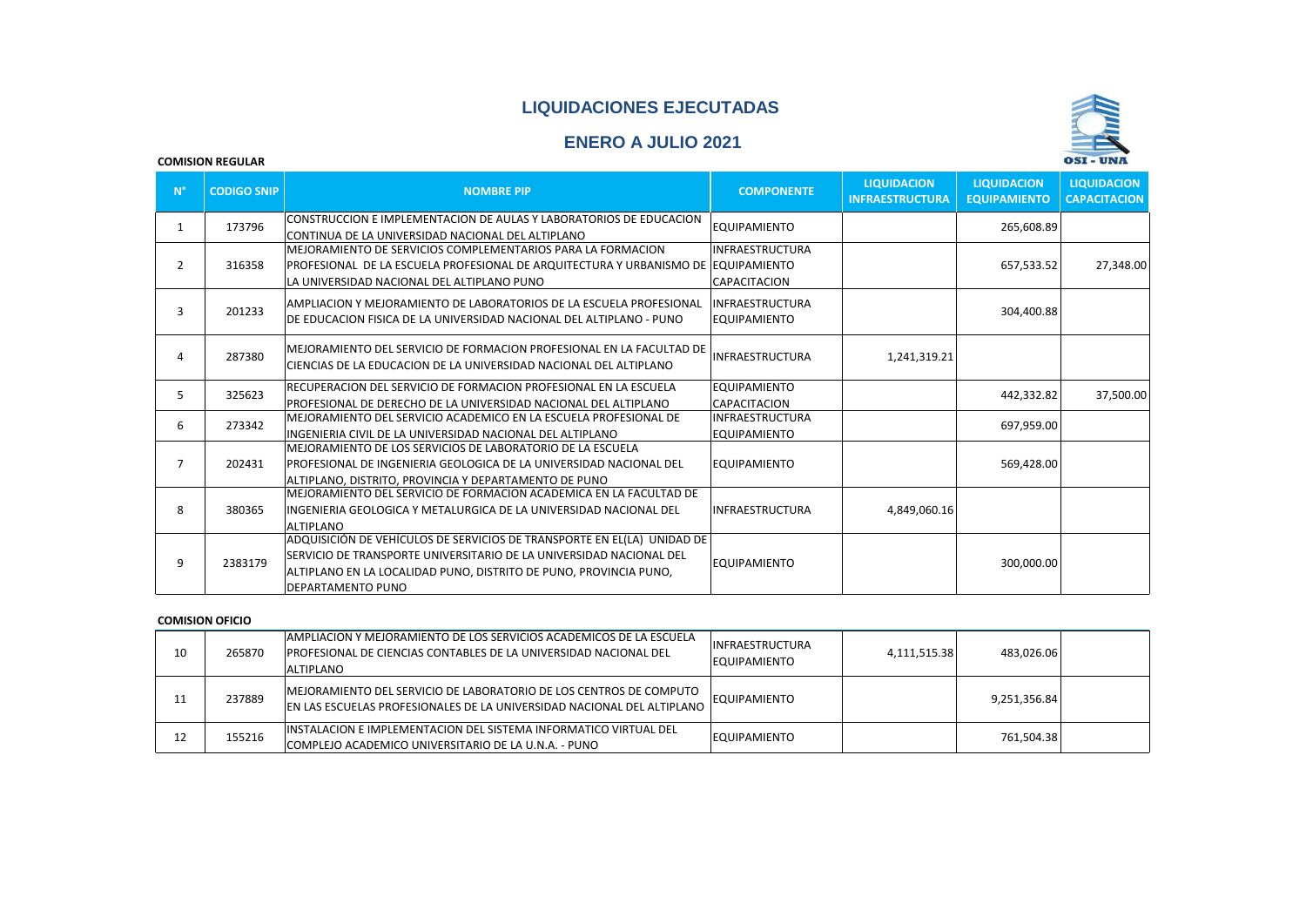## **LIQUIDACIONES EJECUTADAS**

# **ENERO A JULIO 2021**



#### **COMISION REGULAR**

| $N^{\circ}$    | <b>CODIGO SNIP</b> | <b>NOMBRE PIP</b>                                                                                                                                                                                                                                | <b>COMPONENTE</b>                             | <b>LIQUIDACION</b><br><b>INFRAESTRUCTURA</b> | <b>LIQUIDACION</b><br><b>EQUIPAMIENTO</b> | <b>LIQUIDACION</b><br><b>CAPACITACION</b> |
|----------------|--------------------|--------------------------------------------------------------------------------------------------------------------------------------------------------------------------------------------------------------------------------------------------|-----------------------------------------------|----------------------------------------------|-------------------------------------------|-------------------------------------------|
| 1              | 173796             | CONSTRUCCION E IMPLEMENTACION DE AULAS Y LABORATORIOS DE EDUCACION<br>CONTINUA DE LA UNIVERSIDAD NACIONAL DEL ALTIPLANO                                                                                                                          | <b>EQUIPAMIENTO</b>                           |                                              | 265,608.89                                |                                           |
|                |                    | MEJORAMIENTO DE SERVICIOS COMPLEMENTARIOS PARA LA FORMACION                                                                                                                                                                                      | <b>INFRAESTRUCTURA</b>                        |                                              |                                           |                                           |
| $\overline{2}$ | 316358             | PROFESIONAL DE LA ESCUELA PROFESIONAL DE ARQUITECTURA Y URBANISMO DE  EQUIPAMIENTO <br>LA UNIVERSIDAD NACIONAL DEL ALTIPLANO PUNO                                                                                                                | CAPACITACION                                  |                                              | 657,533.52                                | 27,348.00                                 |
| 3              | 201233             | AMPLIACION Y MEJORAMIENTO DE LABORATORIOS DE LA ESCUELA PROFESIONAL<br>DE EDUCACION FISICA DE LA UNIVERSIDAD NACIONAL DEL ALTIPLANO - PUNO                                                                                                       | INFRAESTRUCTURA<br><b>EQUIPAMIENTO</b>        |                                              | 304,400.88                                |                                           |
| 4              | 287380             | MEJORAMIENTO DEL SERVICIO DE FORMACION PROFESIONAL EN LA FACULTAD DE<br>CIENCIAS DE LA EDUCACION DE LA UNIVERSIDAD NACIONAL DEL ALTIPLANO                                                                                                        | <b>INFRAESTRUCTURA</b>                        | 1,241,319.21                                 |                                           |                                           |
| 5              | 325623             | RECUPERACION DEL SERVICIO DE FORMACION PROFESIONAL EN LA ESCUELA<br>PROFESIONAL DE DERECHO DE LA UNIVERSIDAD NACIONAL DEL ALTIPLANO                                                                                                              | <b>EQUIPAMIENTO</b><br><b>CAPACITACION</b>    |                                              | 442,332.82                                | 37,500.00                                 |
| 6              | 273342             | MEJORAMIENTO DEL SERVICIO ACADEMICO EN LA ESCUELA PROFESIONAL DE<br>INGENIERIA CIVIL DE LA UNIVERSIDAD NACIONAL DEL ALTIPLANO                                                                                                                    | <b>INFRAESTRUCTURA</b><br><b>EQUIPAMIENTO</b> |                                              | 697,959.00                                |                                           |
| $\overline{7}$ | 202431             | MEJORAMIENTO DE LOS SERVICIOS DE LABORATORIO DE LA ESCUELA<br>PROFESIONAL DE INGENIERIA GEOLOGICA DE LA UNIVERSIDAD NACIONAL DEL<br>ALTIPLANO, DISTRITO, PROVINCIA Y DEPARTAMENTO DE PUNO                                                        | <b>EQUIPAMIENTO</b>                           |                                              | 569,428.00                                |                                           |
| 8              | 380365             | MEJORAMIENTO DEL SERVICIO DE FORMACION ACADEMICA EN LA FACULTAD DE<br>INGENIERIA GEOLOGICA Y METALURGICA DE LA UNIVERSIDAD NACIONAL DEL<br>ALTIPLANO                                                                                             | <b>INFRAESTRUCTURA</b>                        | 4,849,060.16                                 |                                           |                                           |
| 9              | 2383179            | ADQUISICIÓN DE VEHÍCULOS DE SERVICIOS DE TRANSPORTE EN EL(LA) UNIDAD DE<br>ISERVICIO DE TRANSPORTE UNIVERSITARIO DE LA UNIVERSIDAD NACIONAL DEL<br>ALTIPLANO EN LA LOCALIDAD PUNO, DISTRITO DE PUNO, PROVINCIA PUNO,<br><b>DEPARTAMENTO PUNO</b> | <b>EQUIPAMIENTO</b>                           |                                              | 300,000.00                                |                                           |

#### **COMISION OFICIO**

| 10 | 265870 | TAMPLIACION Y MEJORAMIENTO DE LOS SERVICIOS ACADEMICOS DE LA ESCUELA<br><b>PROFESIONAL DE CIENCIAS CONTABLES DE LA UNIVERSIDAD NACIONAL DEL</b><br><b>ALTIPLANO</b> | IINFRAESTRUCTURA<br><b>EQUIPAMIENTO</b> | 4,111,515.38 | 483,026.06   |  |
|----|--------|---------------------------------------------------------------------------------------------------------------------------------------------------------------------|-----------------------------------------|--------------|--------------|--|
|    | 237889 | MEJORAMIENTO DEL SERVICIO DE LABORATORIO DE LOS CENTROS DE COMPUTO<br>EN LAS ESCUELAS PROFESIONALES DE LA UNIVERSIDAD NACIONAL DEL ALTIPLANO                        | <b>EQUIPAMIENTO</b>                     |              | 9,251,356.84 |  |
| 12 | 155216 | <b>IINSTALACION E IMPLEMENTACION DEL SISTEMA INFORMATICO VIRTUAL DEL</b><br>COMPLEJO ACADEMICO UNIVERSITARIO DE LA U.N.A. - PUNO                                    | <b>EQUIPAMIENTO</b>                     |              | 761.504.38   |  |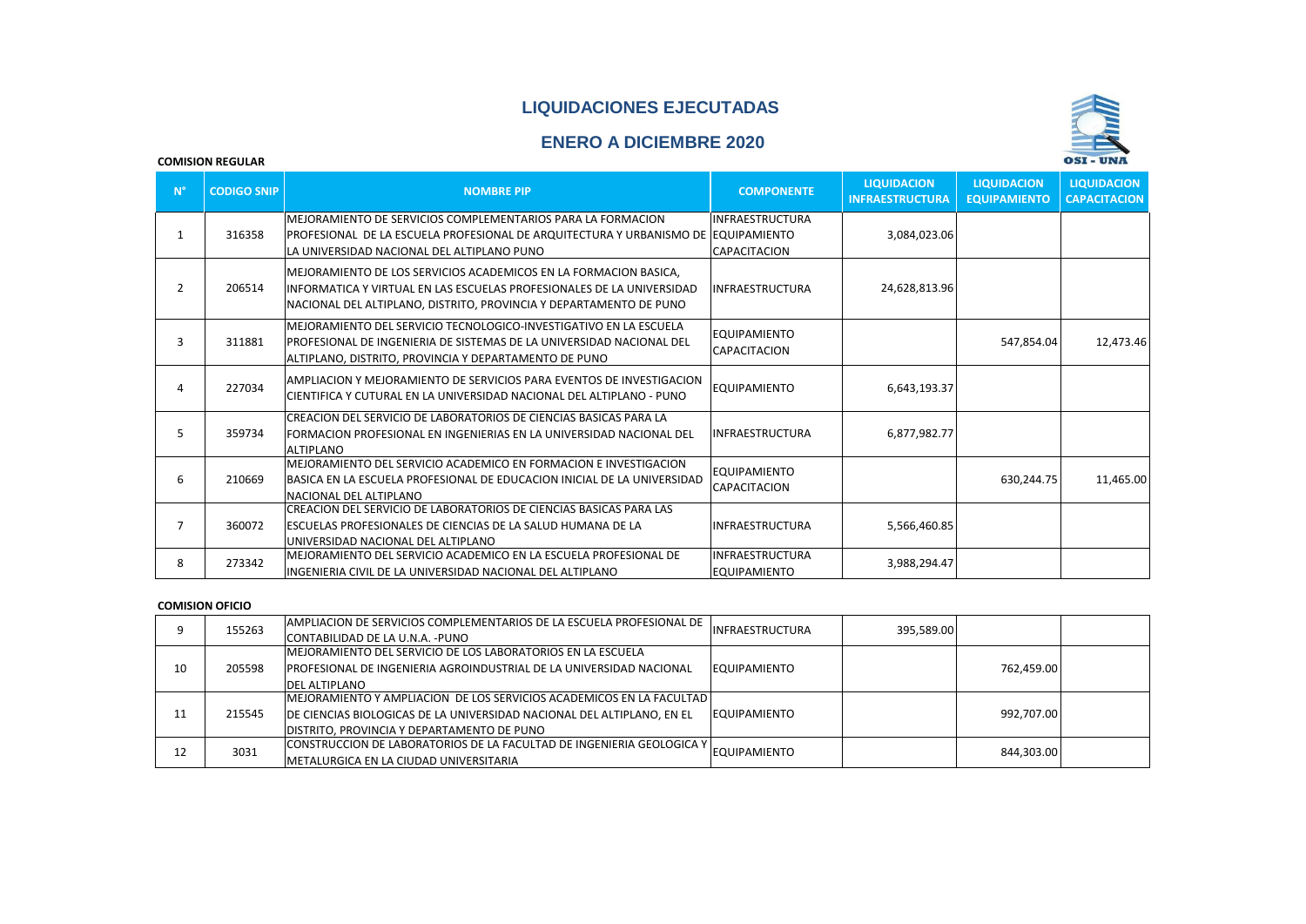## **LIQUIDACIONES EJECUTADAS**

# **ENERO A DICIEMBRE 2020**



#### **COMISION REGULAR**

| $N^{\circ}$ | <b>CODIGO SNIP</b> | <b>NOMBRE PIP</b>                                                                                                                                                                                                | <b>COMPONENTE</b>                      | <b>LIQUIDACION</b><br><b>INFRAESTRUCTURA</b> | <b>LIQUIDACION</b><br><b>EQUIPAMIENTO</b> | <b>LIQUIDACION</b><br><b>CAPACITACION</b> |
|-------------|--------------------|------------------------------------------------------------------------------------------------------------------------------------------------------------------------------------------------------------------|----------------------------------------|----------------------------------------------|-------------------------------------------|-------------------------------------------|
|             | 316358             | IMEJORAMIENTO DE SERVICIOS COMPLEMENTARIOS PARA LA FORMACION<br>PROFESIONAL DE LA ESCUELA PROFESIONAL DE ARQUITECTURA Y URBANISMO DE  EQUIPAMIENTO <br>LA UNIVERSIDAD NACIONAL DEL ALTIPLANO PUNO                | <b>INFRAESTRUCTURA</b><br>CAPACITACION | 3,084,023.06                                 |                                           |                                           |
| 2           | 206514             | MEJORAMIENTO DE LOS SERVICIOS ACADEMICOS EN LA FORMACION BASICA,<br>IINFORMATICA Y VIRTUAL EN LAS ESCUELAS PROFESIONALES DE LA UNIVERSIDAD<br>NACIONAL DEL ALTIPLANO, DISTRITO, PROVINCIA Y DEPARTAMENTO DE PUNO | <b>INFRAESTRUCTURA</b>                 | 24,628,813.96                                |                                           |                                           |
| 3           | 311881             | MEJORAMIENTO DEL SERVICIO TECNOLOGICO-INVESTIGATIVO EN LA ESCUELA<br>PROFESIONAL DE INGENIERIA DE SISTEMAS DE LA UNIVERSIDAD NACIONAL DEL<br>ALTIPLANO, DISTRITO, PROVINCIA Y DEPARTAMENTO DE PUNO               | <b>EQUIPAMIENTO</b><br>CAPACITACION    |                                              | 547,854.04                                | 12,473.46                                 |
| 4           | 227034             | AMPLIACION Y MEJORAMIENTO DE SERVICIOS PARA EVENTOS DE INVESTIGACION<br>CIENTIFICA Y CUTURAL EN LA UNIVERSIDAD NACIONAL DEL ALTIPLANO - PUNO                                                                     | <b>EQUIPAMIENTO</b>                    | 6,643,193.37                                 |                                           |                                           |
| 5           | 359734             | CREACION DEL SERVICIO DE LABORATORIOS DE CIENCIAS BASICAS PARA LA<br>FORMACION PROFESIONAL EN INGENIERIAS EN LA UNIVERSIDAD NACIONAL DEL<br><b>ALTIPLANO</b>                                                     | <b>INFRAESTRUCTURA</b>                 | 6,877,982.77                                 |                                           |                                           |
| 6           | 210669             | MEJORAMIENTO DEL SERVICIO ACADEMICO EN FORMACION E INVESTIGACION<br>BASICA EN LA ESCUELA PROFESIONAL DE EDUCACION INICIAL DE LA UNIVERSIDAD<br>NACIONAL DEL ALTIPLANO                                            | <b>EOUIPAMIENTO</b><br>CAPACITACION    |                                              | 630,244.75                                | 11,465.00                                 |
| 7           | 360072             | CREACION DEL SERVICIO DE LABORATORIOS DE CIENCIAS BASICAS PARA LAS<br>ESCUELAS PROFESIONALES DE CIENCIAS DE LA SALUD HUMANA DE LA<br>UNIVERSIDAD NACIONAL DEL ALTIPLANO                                          | <b>INFRAESTRUCTURA</b>                 | 5,566,460.85                                 |                                           |                                           |
| 8           | 273342             | MEJORAMIENTO DEL SERVICIO ACADEMICO EN LA ESCUELA PROFESIONAL DE<br>IINGENIERIA CIVIL DE LA UNIVERSIDAD NACIONAL DEL ALTIPLANO                                                                                   | INFRAESTRUCTURA<br><b>EQUIPAMIENTO</b> | 3,988,294.47                                 |                                           |                                           |

#### **COMISION OFICIO**

|    | 155263 | AMPLIACION DE SERVICIOS COMPLEMENTARIOS DE LA ESCUELA PROFESIONAL DE<br>CONTABILIDAD DE LA U.N.A. - PUNO                                                                                       | INFRAESTRUCTURA     | 395,589.00 |            |  |
|----|--------|------------------------------------------------------------------------------------------------------------------------------------------------------------------------------------------------|---------------------|------------|------------|--|
| 10 | 205598 | IMEJORAMIENTO DEL SERVICIO DE LOS LABORATORIOS EN LA ESCUELA<br><u>IPROFESIONAL DE INGENIERIA AGROINDUSTRIAL DE LA UNIVERSIDAD NACIONAL</u><br><b>DEL ALTIPLANO</b>                            | <b>EQUIPAMIENTO</b> |            | 762.459.00 |  |
| 11 | 215545 | MEJORAMIENTO Y AMPLIACION DE LOS SERVICIOS ACADEMICOS EN LA FACULTAD  <br>DE CIENCIAS BIOLOGICAS DE LA UNIVERSIDAD NACIONAL DEL ALTIPLANO, EN EL<br>DISTRITO, PROVINCIA Y DEPARTAMENTO DE PUNO | <b>EQUIPAMIENTO</b> |            | 992,707.00 |  |
| 12 | 3031   | CONSTRUCCION DE LABORATORIOS DE LA FACULTAD DE INGENIERIA GEOLOGICA Y<br>METALURGICA EN LA CIUDAD UNIVERSITARIA                                                                                | EQUIPAMIENTO        |            | 844,303.00 |  |